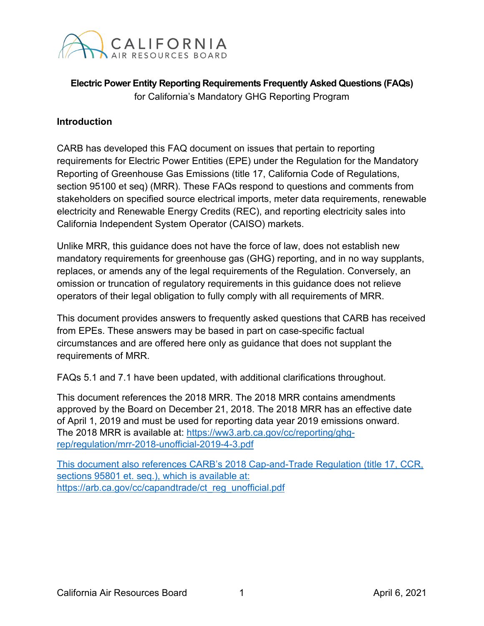

**Electric Power Entity Reporting Requirements Frequently Asked Questions (FAQs)** for California's Mandatory GHG Reporting Program

#### **Introduction**

CARB has developed this FAQ document on issues that pertain to reporting requirements for Electric Power Entities (EPE) under the Regulation for the Mandatory Reporting of Greenhouse Gas Emissions (title 17, California Code of Regulations, section 95100 et seq) (MRR). These FAQs respond to questions and comments from stakeholders on specified source electrical imports, meter data requirements, renewable electricity and Renewable Energy Credits (REC), and reporting electricity sales into California Independent System Operator (CAISO) markets.

Unlike MRR, this guidance does not have the force of law, does not establish new mandatory requirements for greenhouse gas (GHG) reporting, and in no way supplants, replaces, or amends any of the legal requirements of the Regulation. Conversely, an omission or truncation of regulatory requirements in this guidance does not relieve operators of their legal obligation to fully comply with all requirements of MRR.

This document provides answers to frequently asked questions that CARB has received from EPEs. These answers may be based in part on case-specific factual circumstances and are offered here only as guidance that does not supplant the requirements of MRR.

FAQs 5.1 and 7.1 have been updated, with additional clarifications throughout.

This document references the 2018 MRR. The 2018 MRR contains amendments approved by the Board on December 21, 2018. The 2018 MRR has an effective date of April 1, 2019 and must be used for reporting data year 2019 emissions onward. The 2018 MRR is available at: [https://ww3.arb.ca.gov/cc/reporting/ghg](https://ww3.arb.ca.gov/cc/reporting/ghg-rep/regulation/mrr-2018-unofficial-2019-4-3.pdf)[rep/regulation/mrr-2018-unofficial-2019-4-3.pdf](https://ww3.arb.ca.gov/cc/reporting/ghg-rep/regulation/mrr-2018-unofficial-2019-4-3.pdf)

This document also references CARB's 2018 Cap-and-Trade Regulation (title 17, CCR, sections 95801 et. seq.), which is available at: https://arb.ca.gov/cc/capandtrade/ct\_reg\_unofficial.pdf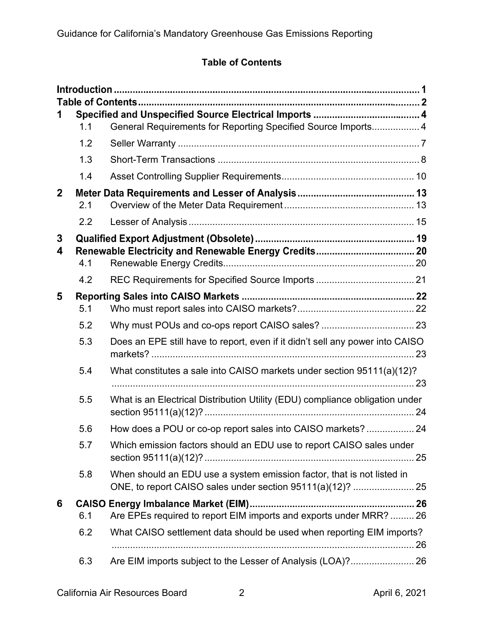# **Table of Contents**

|              | 1.1 | General Requirements for Reporting Specified Source Imports 4                                                                        |  |
|--------------|-----|--------------------------------------------------------------------------------------------------------------------------------------|--|
|              | 1.2 |                                                                                                                                      |  |
|              | 1.3 |                                                                                                                                      |  |
|              | 1.4 |                                                                                                                                      |  |
| $\mathbf{2}$ | 2.1 |                                                                                                                                      |  |
|              | 2.2 |                                                                                                                                      |  |
| 3            |     |                                                                                                                                      |  |
| 4            | 4.1 |                                                                                                                                      |  |
|              | 4.2 |                                                                                                                                      |  |
| 5            |     |                                                                                                                                      |  |
|              | 5.1 |                                                                                                                                      |  |
|              | 5.2 |                                                                                                                                      |  |
|              | 5.3 | Does an EPE still have to report, even if it didn't sell any power into CAISO                                                        |  |
|              | 5.4 | What constitutes a sale into CAISO markets under section 95111(a)(12)?                                                               |  |
|              | 5.5 | What is an Electrical Distribution Utility (EDU) compliance obligation under                                                         |  |
|              | 5.6 |                                                                                                                                      |  |
|              | 5.7 | Which emission factors should an EDU use to report CAISO sales under                                                                 |  |
|              | 5.8 | When should an EDU use a system emission factor, that is not listed in<br>ONE, to report CAISO sales under section 95111(a)(12)?  25 |  |
| 6            |     |                                                                                                                                      |  |
|              | 6.1 | Are EPEs required to report EIM imports and exports under MRR?  26                                                                   |  |
|              | 6.2 | What CAISO settlement data should be used when reporting EIM imports?                                                                |  |
|              | 6.3 | Are EIM imports subject to the Lesser of Analysis (LOA)? 26                                                                          |  |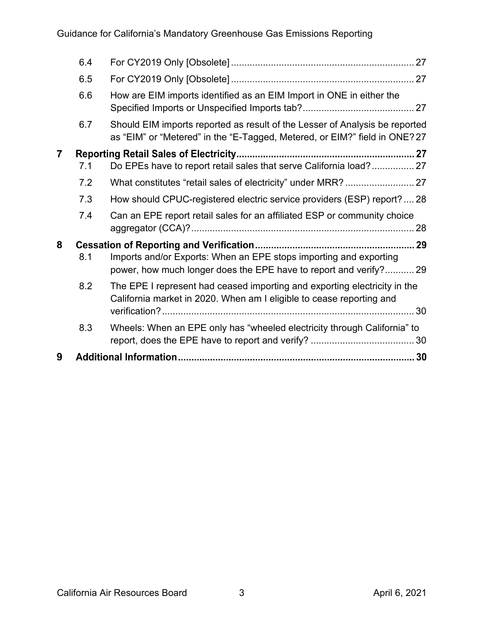| 6.5<br>6.6<br>How are EIM imports identified as an EIM Import in ONE in either the<br>Should EIM imports reported as result of the Lesser of Analysis be reported<br>6.7<br>as "EIM" or "Metered" in the "E-Tagged, Metered, or EIM?" field in ONE? 27<br>$\overline{\mathbf{7}}$<br>Do EPEs have to report retail sales that serve California load? 27<br>7.1<br>7.2<br>How should CPUC-registered electric service providers (ESP) report?  28<br>7.3<br>7.4<br>Can an EPE report retail sales for an affiliated ESP or community choice<br>8<br>Imports and/or Exports: When an EPE stops importing and exporting<br>8.1<br>power, how much longer does the EPE have to report and verify? 29<br>8.2<br>The EPE I represent had ceased importing and exporting electricity in the<br>California market in 2020. When am I eligible to cease reporting and<br>Wheels: When an EPE only has "wheeled electricity through California" to<br>8.3<br>9 | 6.4 |  |
|------------------------------------------------------------------------------------------------------------------------------------------------------------------------------------------------------------------------------------------------------------------------------------------------------------------------------------------------------------------------------------------------------------------------------------------------------------------------------------------------------------------------------------------------------------------------------------------------------------------------------------------------------------------------------------------------------------------------------------------------------------------------------------------------------------------------------------------------------------------------------------------------------------------------------------------------------|-----|--|
|                                                                                                                                                                                                                                                                                                                                                                                                                                                                                                                                                                                                                                                                                                                                                                                                                                                                                                                                                      |     |  |
|                                                                                                                                                                                                                                                                                                                                                                                                                                                                                                                                                                                                                                                                                                                                                                                                                                                                                                                                                      |     |  |
|                                                                                                                                                                                                                                                                                                                                                                                                                                                                                                                                                                                                                                                                                                                                                                                                                                                                                                                                                      |     |  |
|                                                                                                                                                                                                                                                                                                                                                                                                                                                                                                                                                                                                                                                                                                                                                                                                                                                                                                                                                      |     |  |
|                                                                                                                                                                                                                                                                                                                                                                                                                                                                                                                                                                                                                                                                                                                                                                                                                                                                                                                                                      |     |  |
|                                                                                                                                                                                                                                                                                                                                                                                                                                                                                                                                                                                                                                                                                                                                                                                                                                                                                                                                                      |     |  |
|                                                                                                                                                                                                                                                                                                                                                                                                                                                                                                                                                                                                                                                                                                                                                                                                                                                                                                                                                      |     |  |
|                                                                                                                                                                                                                                                                                                                                                                                                                                                                                                                                                                                                                                                                                                                                                                                                                                                                                                                                                      |     |  |
|                                                                                                                                                                                                                                                                                                                                                                                                                                                                                                                                                                                                                                                                                                                                                                                                                                                                                                                                                      |     |  |
|                                                                                                                                                                                                                                                                                                                                                                                                                                                                                                                                                                                                                                                                                                                                                                                                                                                                                                                                                      |     |  |
|                                                                                                                                                                                                                                                                                                                                                                                                                                                                                                                                                                                                                                                                                                                                                                                                                                                                                                                                                      |     |  |
|                                                                                                                                                                                                                                                                                                                                                                                                                                                                                                                                                                                                                                                                                                                                                                                                                                                                                                                                                      |     |  |
|                                                                                                                                                                                                                                                                                                                                                                                                                                                                                                                                                                                                                                                                                                                                                                                                                                                                                                                                                      |     |  |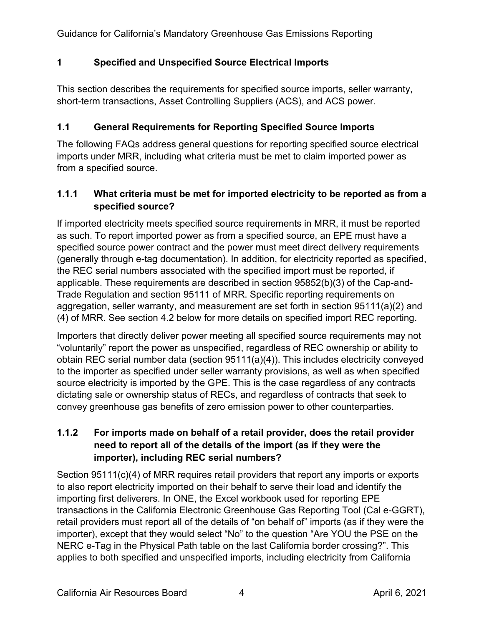## **1 Specified and Unspecified Source Electrical Imports**

This section describes the requirements for specified source imports, seller warranty, short-term transactions, Asset Controlling Suppliers (ACS), and ACS power.

## <span id="page-3-0"></span>**1.1 General Requirements for Reporting Specified Source Imports**

The following FAQs address general questions for reporting specified source electrical imports under MRR, including what criteria must be met to claim imported power as from a specified source.

## **1.1.1 What criteria must be met for imported electricity to be reported as from a specified source?**

If imported electricity meets specified source requirements in MRR, it must be reported as such. To report imported power as from a specified source, an EPE must have a specified source power contract and the power must meet direct delivery requirements (generally through e-tag documentation). In addition, for electricity reported as specified, the REC serial numbers associated with the specified import must be reported, if applicable. These requirements are described in section 95852(b)(3) of the Cap-and-Trade Regulation and section 95111 of MRR. Specific reporting requirements on aggregation, seller warranty, and measurement are set forth in section 95111(a)(2) and (4) of MRR. See section 4.2 below for more details on specified import REC reporting.

Importers that directly deliver power meeting all specified source requirements may not "voluntarily" report the power as unspecified, regardless of REC ownership or ability to obtain REC serial number data (section 95111(a)(4)). This includes electricity conveyed to the importer as specified under seller warranty provisions, as well as when specified source electricity is imported by the GPE. This is the case regardless of any contracts dictating sale or ownership status of RECs, and regardless of contracts that seek to convey greenhouse gas benefits of zero emission power to other counterparties.

# **1.1.2 For imports made on behalf of a retail provider, does the retail provider need to report all of the details of the import (as if they were the importer), including REC serial numbers?**

Section 95111(c)(4) of MRR requires retail providers that report any imports or exports to also report electricity imported on their behalf to serve their load and identify the importing first deliverers. In ONE, the Excel workbook used for reporting EPE transactions in the California Electronic Greenhouse Gas Reporting Tool (Cal e-GGRT), retail providers must report all of the details of "on behalf of" imports (as if they were the importer), except that they would select "No" to the question "Are YOU the PSE on the NERC e-Tag in the Physical Path table on the last California border crossing?". This applies to both specified and unspecified imports, including electricity from California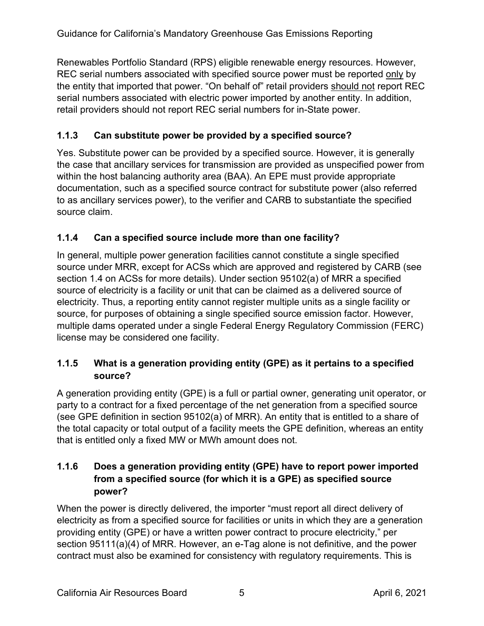Renewables Portfolio Standard (RPS) eligible renewable energy resources. However, REC serial numbers associated with specified source power must be reported only by the entity that imported that power. "On behalf of" retail providers should not report REC serial numbers associated with electric power imported by another entity. In addition, retail providers should not report REC serial numbers for in-State power.

# **1.1.3 Can substitute power be provided by a specified source?**

Yes. Substitute power can be provided by a specified source. However, it is generally the case that ancillary services for transmission are provided as unspecified power from within the host balancing authority area (BAA). An EPE must provide appropriate documentation, such as a specified source contract for substitute power (also referred to as ancillary services power), to the verifier and CARB to substantiate the specified source claim.

# **1.1.4 Can a specified source include more than one facility?**

In general, multiple power generation facilities cannot constitute a single specified source under MRR, except for ACSs which are approved and registered by CARB (see section 1.4 on ACSs for more details). Under section 95102(a) of MRR a specified source of electricity is a facility or unit that can be claimed as a delivered source of electricity. Thus, a reporting entity cannot register multiple units as a single facility or source, for purposes of obtaining a single specified source emission factor. However, multiple dams operated under a single Federal Energy Regulatory Commission (FERC) license may be considered one facility.

## **1.1.5 What is a generation providing entity (GPE) as it pertains to a specified source?**

A generation providing entity (GPE) is a full or partial owner, generating unit operator, or party to a contract for a fixed percentage of the net generation from a specified source (see GPE definition in section 95102(a) of MRR). An entity that is entitled to a share of the total capacity or total output of a facility meets the GPE definition, whereas an entity that is entitled only a fixed MW or MWh amount does not.

# **1.1.6 Does a generation providing entity (GPE) have to report power imported from a specified source (for which it is a GPE) as specified source power?**

When the power is directly delivered, the importer "must report all direct delivery of electricity as from a specified source for facilities or units in which they are a generation providing entity (GPE) or have a written power contract to procure electricity," per section 95111(a)(4) of MRR. However, an e-Tag alone is not definitive, and the power contract must also be examined for consistency with regulatory requirements. This is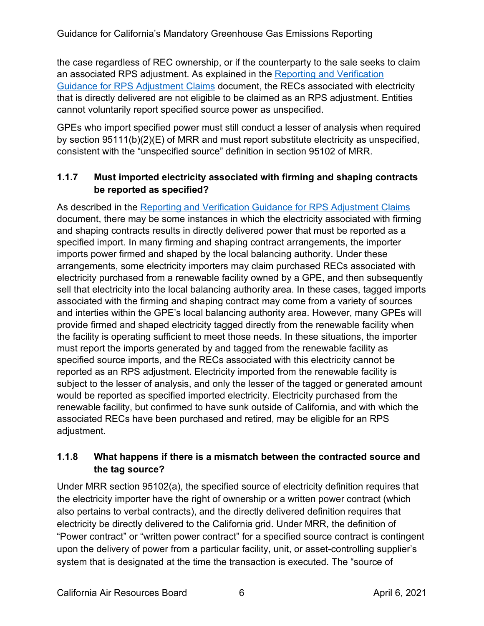the case regardless of REC ownership, or if the counterparty to the sale seeks to claim an associated RPS adjustment. As explained in the [Reporting and Verification](http://www.arb.ca.gov/cc/reporting/ghg-rep/ghg-rep-power/rps-adj-guidance.pdf)  [Guidance for RPS Adjustment Claims](http://www.arb.ca.gov/cc/reporting/ghg-rep/ghg-rep-power/rps-adj-guidance.pdf) document, the RECs associated with electricity that is directly delivered are not eligible to be claimed as an RPS adjustment. Entities cannot voluntarily report specified source power as unspecified.

GPEs who import specified power must still conduct a lesser of analysis when required by section 95111(b)(2)(E) of MRR and must report substitute electricity as unspecified, consistent with the "unspecified source" definition in section 95102 of MRR.

## **1.1.7 Must imported electricity associated with firming and shaping contracts be reported as specified?**

As described in the [Reporting and Verification Guidance for RPS Adjustment Claims](https://www.arb.ca.gov/cc/reporting/ghg-rep/ghg-rep-power/rps-adj-guidance.pdf) document, there may be some instances in which the electricity associated with firming and shaping contracts results in directly delivered power that must be reported as a specified import. In many firming and shaping contract arrangements, the importer imports power firmed and shaped by the local balancing authority. Under these arrangements, some electricity importers may claim purchased RECs associated with electricity purchased from a renewable facility owned by a GPE, and then subsequently sell that electricity into the local balancing authority area. In these cases, tagged imports associated with the firming and shaping contract may come from a variety of sources and interties within the GPE's local balancing authority area. However, many GPEs will provide firmed and shaped electricity tagged directly from the renewable facility when the facility is operating sufficient to meet those needs. In these situations, the importer must report the imports generated by and tagged from the renewable facility as specified source imports, and the RECs associated with this electricity cannot be reported as an RPS adjustment. Electricity imported from the renewable facility is subject to the lesser of analysis, and only the lesser of the tagged or generated amount would be reported as specified imported electricity. Electricity purchased from the renewable facility, but confirmed to have sunk outside of California, and with which the associated RECs have been purchased and retired, may be eligible for an RPS adjustment.

## **1.1.8 What happens if there is a mismatch between the contracted source and the tag source?**

Under MRR section 95102(a), the specified source of electricity definition requires that the electricity importer have the right of ownership or a written power contract (which also pertains to verbal contracts), and the directly delivered definition requires that electricity be directly delivered to the California grid. Under MRR, the definition of "Power contract" or "written power contract" for a specified source contract is contingent upon the delivery of power from a particular facility, unit, or asset-controlling supplier's system that is designated at the time the transaction is executed. The "source of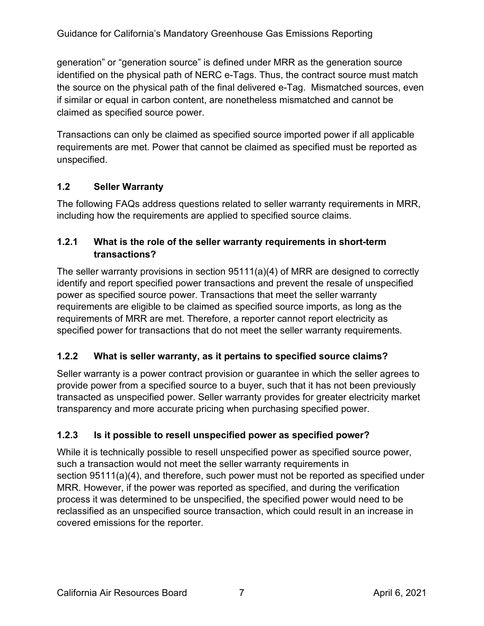generation" or "generation source" is defined under MRR as the generation source identified on the physical path of NERC e-Tags. Thus, the contract source must match the source on the physical path of the final delivered e-Tag. Mismatched sources, even if similar or equal in carbon content, are nonetheless mismatched and cannot be claimed as specified source power.

Transactions can only be claimed as specified source imported power if all applicable requirements are met. Power that cannot be claimed as specified must be reported as unspecified.

# <span id="page-6-0"></span>**1.2 Seller Warranty**

The following FAQs address questions related to seller warranty requirements in MRR, including how the requirements are applied to specified source claims.

## **1.2.1 What is the role of the seller warranty requirements in short-term transactions?**

The seller warranty provisions in section 95111(a)(4) of MRR are designed to correctly identify and report specified power transactions and prevent the resale of unspecified power as specified source power. Transactions that meet the seller warranty requirements are eligible to be claimed as specified source imports, as long as the requirements of MRR are met. Therefore, a reporter cannot report electricity as specified power for transactions that do not meet the seller warranty requirements.

# **1.2.2 What is seller warranty, as it pertains to specified source claims?**

Seller warranty is a power contract provision or guarantee in which the seller agrees to provide power from a specified source to a buyer, such that it has not been previously transacted as unspecified power. Seller warranty provides for greater electricity market transparency and more accurate pricing when purchasing specified power.

# **1.2.3 Is it possible to resell unspecified power as specified power?**

While it is technically possible to resell unspecified power as specified source power, such a transaction would not meet the seller warranty requirements in section 95111(a)(4), and therefore, such power must not be reported as specified under MRR. However, if the power was reported as specified, and during the verification process it was determined to be unspecified, the specified power would need to be reclassified as an unspecified source transaction, which could result in an increase in covered emissions for the reporter.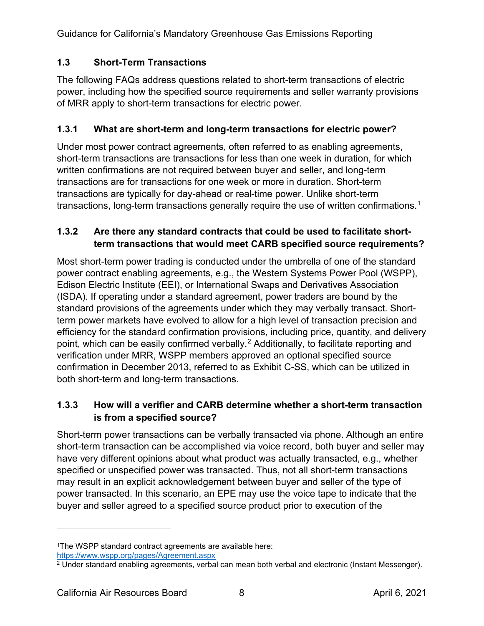# <span id="page-7-0"></span>**1.3 Short-Term Transactions**

The following FAQs address questions related to short-term transactions of electric power, including how the specified source requirements and seller warranty provisions of MRR apply to short-term transactions for electric power.

# **1.3.1 What are short-term and long-term transactions for electric power?**

Under most power contract agreements, often referred to as enabling agreements, short-term transactions are transactions for less than one week in duration, for which written confirmations are not required between buyer and seller, and long-term transactions are for transactions for one week or more in duration. Short-term transactions are typically for day-ahead or real-time power. Unlike short-term transactions, long-term transactions generally require the use of written confirmations.<sup>[1](#page-7-1)</sup>

## **1.3.2 Are there any standard contracts that could be used to facilitate shortterm transactions that would meet CARB specified source requirements?**

Most short-term power trading is conducted under the umbrella of one of the standard power contract enabling agreements, e.g., the Western Systems Power Pool (WSPP), Edison Electric Institute (EEI), or International Swaps and Derivatives Association (ISDA). If operating under a standard agreement, power traders are bound by the standard provisions of the agreements under which they may verbally transact. Shortterm power markets have evolved to allow for a high level of transaction precision and efficiency for the standard confirmation provisions, including price, quantity, and delivery point, which can be easily confirmed verbally.<sup>[2](#page-7-2)</sup> Additionally, to facilitate reporting and verification under MRR, WSPP members approved an optional specified source confirmation in December 2013, referred to as Exhibit C-SS, which can be utilized in both short-term and long-term transactions.

## **1.3.3 How will a verifier and CARB determine whether a short-term transaction is from a specified source?**

Short-term power transactions can be verbally transacted via phone. Although an entire short-term transaction can be accomplished via voice record, both buyer and seller may have very different opinions about what product was actually transacted, e.g., whether specified or unspecified power was transacted. Thus, not all short-term transactions may result in an explicit acknowledgement between buyer and seller of the type of power transacted. In this scenario, an EPE may use the voice tape to indicate that the buyer and seller agreed to a specified source product prior to execution of the

<span id="page-7-1"></span><sup>1</sup>The WSPP standard contract agreements are available here: <https://www.wspp.org/pages/Agreement.aspx>

<span id="page-7-2"></span><sup>2</sup> Under standard enabling agreements, verbal can mean both verbal and electronic (Instant Messenger).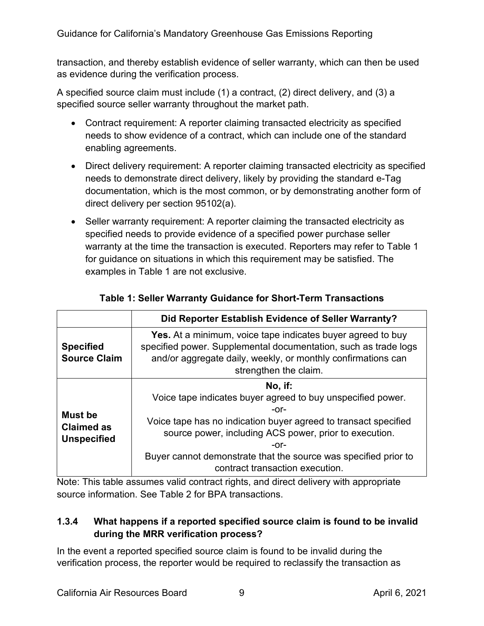transaction, and thereby establish evidence of seller warranty, which can then be used as evidence during the verification process.

A specified source claim must include (1) a contract, (2) direct delivery, and (3) a specified source seller warranty throughout the market path.

- Contract requirement: A reporter claiming transacted electricity as specified needs to show evidence of a contract, which can include one of the standard enabling agreements.
- Direct delivery requirement: A reporter claiming transacted electricity as specified needs to demonstrate direct delivery, likely by providing the standard e-Tag documentation, which is the most common, or by demonstrating another form of direct delivery per section 95102(a).
- Seller warranty requirement: A reporter claiming the transacted electricity as specified needs to provide evidence of a specified power purchase seller warranty at the time the transaction is executed. Reporters may refer to Table 1 for guidance on situations in which this requirement may be satisfied. The examples in Table 1 are not exclusive.

|                                                           | Did Reporter Establish Evidence of Seller Warranty?                                                                                                                                                                                                                                                                       |  |  |
|-----------------------------------------------------------|---------------------------------------------------------------------------------------------------------------------------------------------------------------------------------------------------------------------------------------------------------------------------------------------------------------------------|--|--|
| <b>Specified</b><br><b>Source Claim</b>                   | <b>Yes.</b> At a minimum, voice tape indicates buyer agreed to buy<br>specified power. Supplemental documentation, such as trade logs<br>and/or aggregate daily, weekly, or monthly confirmations can<br>strengthen the claim.                                                                                            |  |  |
| <b>Must be</b><br><b>Claimed as</b><br><b>Unspecified</b> | No, if:<br>Voice tape indicates buyer agreed to buy unspecified power.<br>-or-<br>Voice tape has no indication buyer agreed to transact specified<br>source power, including ACS power, prior to execution.<br>-or-<br>Buyer cannot demonstrate that the source was specified prior to<br>contract transaction execution. |  |  |

#### **Table 1: Seller Warranty Guidance for Short-Term Transactions**

Note: This table assumes valid contract rights, and direct delivery with appropriate source information. See Table 2 for BPA transactions.

#### **1.3.4 What happens if a reported specified source claim is found to be invalid during the MRR verification process?**

In the event a reported specified source claim is found to be invalid during the verification process, the reporter would be required to reclassify the transaction as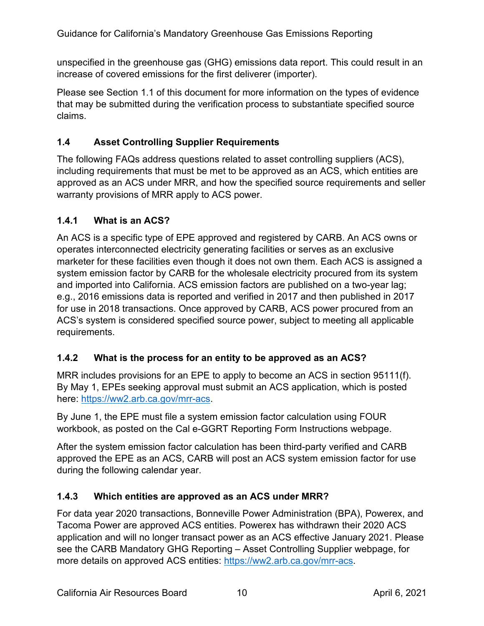unspecified in the greenhouse gas (GHG) emissions data report. This could result in an increase of covered emissions for the first deliverer (importer).

Please see Section 1.1 of this document for more information on the types of evidence that may be submitted during the verification process to substantiate specified source claims.

# <span id="page-9-0"></span>**1.4 Asset Controlling Supplier Requirements**

The following FAQs address questions related to asset controlling suppliers (ACS), including requirements that must be met to be approved as an ACS, which entities are approved as an ACS under MRR, and how the specified source requirements and seller warranty provisions of MRR apply to ACS power.

## **1.4.1 What is an ACS?**

An ACS is a specific type of EPE approved and registered by CARB. An ACS owns or operates interconnected electricity generating facilities or serves as an exclusive marketer for these facilities even though it does not own them. Each ACS is assigned a system emission factor by CARB for the wholesale electricity procured from its system and imported into California. ACS emission factors are published on a two-year lag; e.g., 2016 emissions data is reported and verified in 2017 and then published in 2017 for use in 2018 transactions. Once approved by CARB, ACS power procured from an ACS's system is considered specified source power, subject to meeting all applicable requirements.

## **1.4.2 What is the process for an entity to be approved as an ACS?**

MRR includes provisions for an EPE to apply to become an ACS in section 95111(f). By May 1, EPEs seeking approval must submit an ACS application, which is posted here: [https://ww2.arb.ca.gov/mrr-acs.](https://ww2.arb.ca.gov/mrr-acs)

By June 1, the EPE must file a system emission factor calculation using FOUR workbook, as posted on the Cal e-GGRT Reporting Form Instructions webpage.

After the system emission factor calculation has been third-party verified and CARB approved the EPE as an ACS, CARB will post an ACS system emission factor for use during the following calendar year.

## **1.4.3 Which entities are approved as an ACS under MRR?**

For data year 2020 transactions, Bonneville Power Administration (BPA), Powerex, and Tacoma Power are approved ACS entities. Powerex has withdrawn their 2020 ACS application and will no longer transact power as an ACS effective January 2021. Please see the CARB Mandatory GHG Reporting – Asset Controlling Supplier webpage, for more details on approved ACS entities: [https://ww2.arb.ca.gov/mrr-acs.](https://ww2.arb.ca.gov/mrr-acs)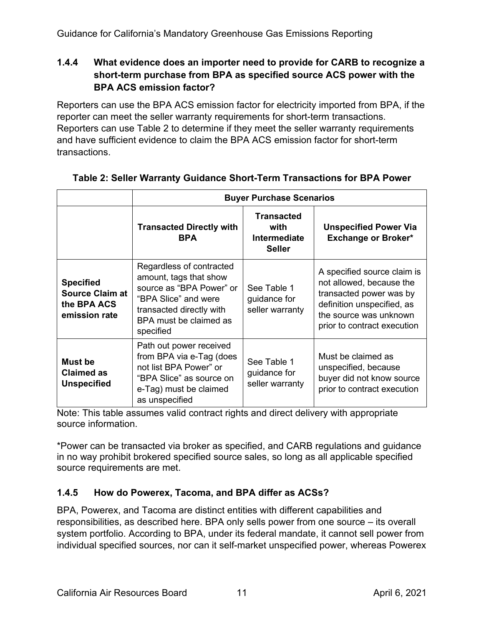### **1.4.4 What evidence does an importer need to provide for CARB to recognize a short-term purchase from BPA as specified source ACS power with the BPA ACS emission factor?**

Reporters can use the BPA ACS emission factor for electricity imported from BPA, if the reporter can meet the seller warranty requirements for short-term transactions. Reporters can use Table 2 to determine if they meet the seller warranty requirements and have sufficient evidence to claim the BPA ACS emission factor for short-term transactions.

|                                                                            | <b>Buyer Purchase Scenarios</b>                                                                                                                                           |                                                                   |                                                                                                                                                                           |
|----------------------------------------------------------------------------|---------------------------------------------------------------------------------------------------------------------------------------------------------------------------|-------------------------------------------------------------------|---------------------------------------------------------------------------------------------------------------------------------------------------------------------------|
|                                                                            | <b>Transacted Directly with</b><br><b>BPA</b>                                                                                                                             | <b>Transacted</b><br>with<br><b>Intermediate</b><br><b>Seller</b> | <b>Unspecified Power Via</b><br><b>Exchange or Broker*</b>                                                                                                                |
| <b>Specified</b><br><b>Source Claim at</b><br>the BPA ACS<br>emission rate | Regardless of contracted<br>amount, tags that show<br>source as "BPA Power" or<br>"BPA Slice" and were<br>transacted directly with<br>BPA must be claimed as<br>specified | See Table 1<br>guidance for<br>seller warranty                    | A specified source claim is<br>not allowed, because the<br>transacted power was by<br>definition unspecified, as<br>the source was unknown<br>prior to contract execution |
| Must be<br><b>Claimed as</b><br><b>Unspecified</b>                         | Path out power received<br>from BPA via e-Tag (does<br>not list BPA Power" or<br>"BPA Slice" as source on<br>e-Tag) must be claimed<br>as unspecified                     | See Table 1<br>guidance for<br>seller warranty                    | Must be claimed as<br>unspecified, because<br>buyer did not know source<br>prior to contract execution                                                                    |

# **Table 2: Seller Warranty Guidance Short-Term Transactions for BPA Power**

Note: This table assumes valid contract rights and direct delivery with appropriate source information.

\*Power can be transacted via broker as specified, and CARB regulations and guidance in no way prohibit brokered specified source sales, so long as all applicable specified source requirements are met.

# **1.4.5 How do Powerex, Tacoma, and BPA differ as ACSs?**

BPA, Powerex, and Tacoma are distinct entities with different capabilities and responsibilities, as described here. BPA only sells power from one source – its overall system portfolio. According to BPA, under its federal mandate, it cannot sell power from individual specified sources, nor can it self-market unspecified power, whereas Powerex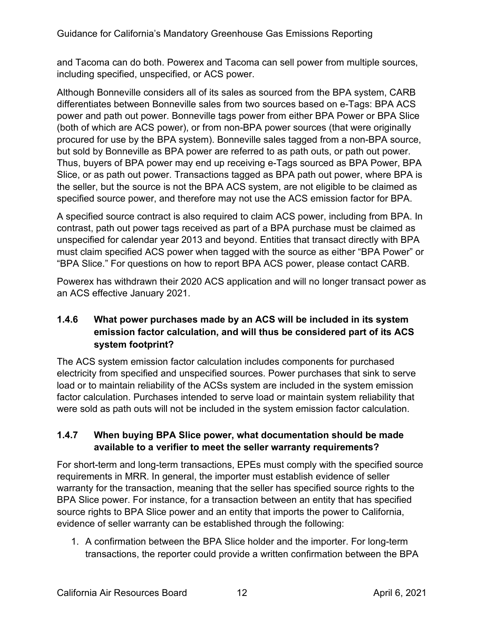and Tacoma can do both. Powerex and Tacoma can sell power from multiple sources, including specified, unspecified, or ACS power.

Although Bonneville considers all of its sales as sourced from the BPA system, CARB differentiates between Bonneville sales from two sources based on e-Tags: BPA ACS power and path out power. Bonneville tags power from either BPA Power or BPA Slice (both of which are ACS power), or from non-BPA power sources (that were originally procured for use by the BPA system). Bonneville sales tagged from a non-BPA source, but sold by Bonneville as BPA power are referred to as path outs, or path out power. Thus, buyers of BPA power may end up receiving e-Tags sourced as BPA Power, BPA Slice, or as path out power. Transactions tagged as BPA path out power, where BPA is the seller, but the source is not the BPA ACS system, are not eligible to be claimed as specified source power, and therefore may not use the ACS emission factor for BPA.

A specified source contract is also required to claim ACS power, including from BPA. In contrast, path out power tags received as part of a BPA purchase must be claimed as unspecified for calendar year 2013 and beyond. Entities that transact directly with BPA must claim specified ACS power when tagged with the source as either "BPA Power" or "BPA Slice." For questions on how to report BPA ACS power, please contact CARB.

Powerex has withdrawn their 2020 ACS application and will no longer transact power as an ACS effective January 2021.

# **1.4.6 What power purchases made by an ACS will be included in its system emission factor calculation, and will thus be considered part of its ACS system footprint?**

The ACS system emission factor calculation includes components for purchased electricity from specified and unspecified sources. Power purchases that sink to serve load or to maintain reliability of the ACSs system are included in the system emission factor calculation. Purchases intended to serve load or maintain system reliability that were sold as path outs will not be included in the system emission factor calculation.

#### **1.4.7 When buying BPA Slice power, what documentation should be made available to a verifier to meet the seller warranty requirements?**

For short-term and long-term transactions, EPEs must comply with the specified source requirements in MRR. In general, the importer must establish evidence of seller warranty for the transaction, meaning that the seller has specified source rights to the BPA Slice power. For instance, for a transaction between an entity that has specified source rights to BPA Slice power and an entity that imports the power to California, evidence of seller warranty can be established through the following:

1. A confirmation between the BPA Slice holder and the importer. For long-term transactions, the reporter could provide a written confirmation between the BPA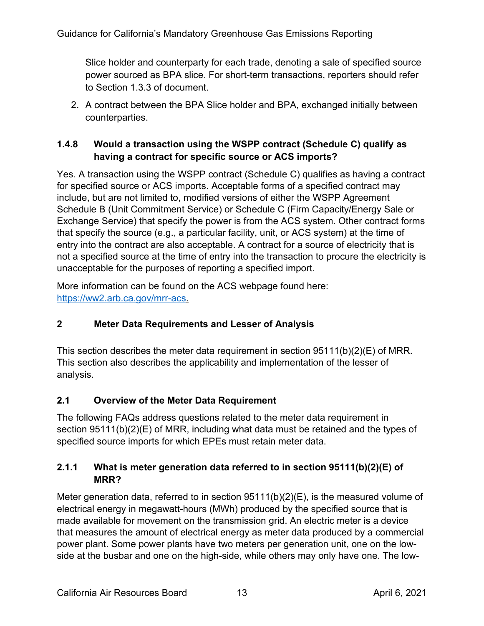Slice holder and counterparty for each trade, denoting a sale of specified source power sourced as BPA slice. For short-term transactions, reporters should refer to Section 1.3.3 of document.

2. A contract between the BPA Slice holder and BPA, exchanged initially between counterparties.

## **1.4.8 Would a transaction using the WSPP contract (Schedule C) qualify as having a contract for specific source or ACS imports?**

Yes. A transaction using the WSPP contract (Schedule C) qualifies as having a contract for specified source or ACS imports. Acceptable forms of a specified contract may include, but are not limited to, modified versions of either the WSPP Agreement Schedule B (Unit Commitment Service) or Schedule C (Firm Capacity/Energy Sale or Exchange Service) that specify the power is from the ACS system. Other contract forms that specify the source (e.g., a particular facility, unit, or ACS system) at the time of entry into the contract are also acceptable. A contract for a source of electricity that is not a specified source at the time of entry into the transaction to procure the electricity is unacceptable for the purposes of reporting a specified import.

More information can be found on the ACS webpage found here: [https://ww2.arb.ca.gov/mrr-acs.](https://ww2.arb.ca.gov/mrr-acs)

## **2 Meter Data Requirements and Lesser of Analysis**

This section describes the meter data requirement in section 95111(b)(2)(E) of MRR. This section also describes the applicability and implementation of the lesser of analysis.

## <span id="page-12-0"></span>**2.1 Overview of the Meter Data Requirement**

The following FAQs address questions related to the meter data requirement in section 95111(b)(2)(E) of MRR, including what data must be retained and the types of specified source imports for which EPEs must retain meter data.

## **2.1.1 What is meter generation data referred to in section 95111(b)(2)(E) of MRR?**

Meter generation data, referred to in section  $95111(b)(2)(E)$ , is the measured volume of electrical energy in megawatt-hours (MWh) produced by the specified source that is made available for movement on the transmission grid. An electric meter is a device that measures the amount of electrical energy as meter data produced by a commercial power plant. Some power plants have two meters per generation unit, one on the lowside at the busbar and one on the high-side, while others may only have one. The low-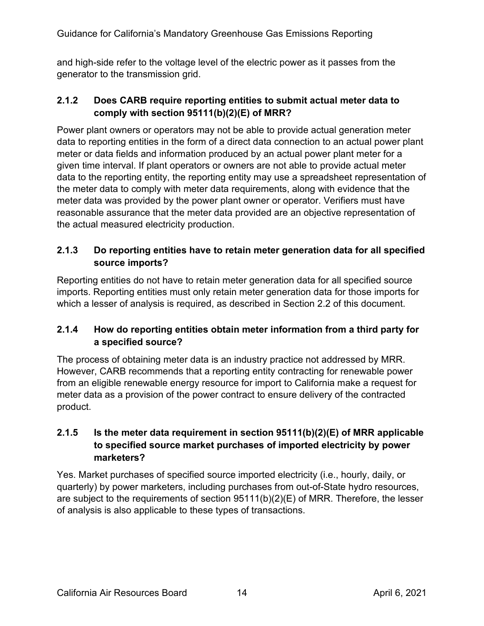and high-side refer to the voltage level of the electric power as it passes from the generator to the transmission grid.

### **2.1.2 Does CARB require reporting entities to submit actual meter data to comply with section 95111(b)(2)(E) of MRR?**

Power plant owners or operators may not be able to provide actual generation meter data to reporting entities in the form of a direct data connection to an actual power plant meter or data fields and information produced by an actual power plant meter for a given time interval. If plant operators or owners are not able to provide actual meter data to the reporting entity, the reporting entity may use a spreadsheet representation of the meter data to comply with meter data requirements, along with evidence that the meter data was provided by the power plant owner or operator. Verifiers must have reasonable assurance that the meter data provided are an objective representation of the actual measured electricity production.

## **2.1.3 Do reporting entities have to retain meter generation data for all specified source imports?**

Reporting entities do not have to retain meter generation data for all specified source imports. Reporting entities must only retain meter generation data for those imports for which a lesser of analysis is required, as described in Section 2.2 of this document.

## **2.1.4 How do reporting entities obtain meter information from a third party for a specified source?**

The process of obtaining meter data is an industry practice not addressed by MRR. However, CARB recommends that a reporting entity contracting for renewable power from an eligible renewable energy resource for import to California make a request for meter data as a provision of the power contract to ensure delivery of the contracted product.

# **2.1.5 Is the meter data requirement in section 95111(b)(2)(E) of MRR applicable to specified source market purchases of imported electricity by power marketers?**

Yes. Market purchases of specified source imported electricity (i.e., hourly, daily, or quarterly) by power marketers, including purchases from out-of-State hydro resources, are subject to the requirements of section 95111(b)(2)(E) of MRR. Therefore, the lesser of analysis is also applicable to these types of transactions.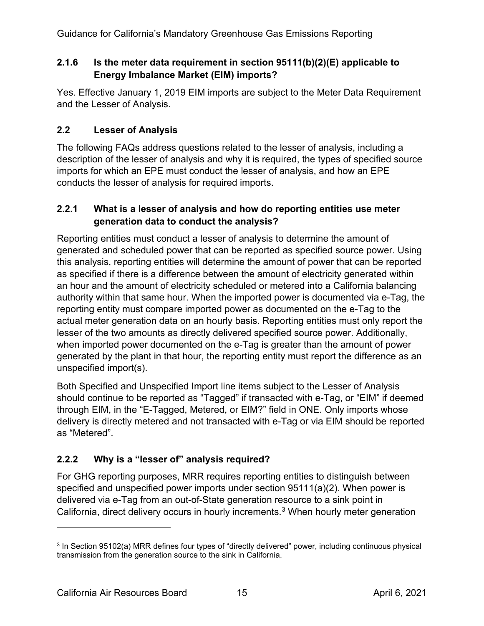### **2.1.6 Is the meter data requirement in section 95111(b)(2)(E) applicable to Energy Imbalance Market (EIM) imports?**

Yes. Effective January 1, 2019 EIM imports are subject to the Meter Data Requirement and the Lesser of Analysis.

# <span id="page-14-0"></span>**2.2 Lesser of Analysis**

The following FAQs address questions related to the lesser of analysis, including a description of the lesser of analysis and why it is required, the types of specified source imports for which an EPE must conduct the lesser of analysis, and how an EPE conducts the lesser of analysis for required imports.

### **2.2.1 What is a lesser of analysis and how do reporting entities use meter generation data to conduct the analysis?**

Reporting entities must conduct a lesser of analysis to determine the amount of generated and scheduled power that can be reported as specified source power. Using this analysis, reporting entities will determine the amount of power that can be reported as specified if there is a difference between the amount of electricity generated within an hour and the amount of electricity scheduled or metered into a California balancing authority within that same hour. When the imported power is documented via e-Tag, the reporting entity must compare imported power as documented on the e-Tag to the actual meter generation data on an hourly basis. Reporting entities must only report the lesser of the two amounts as directly delivered specified source power. Additionally, when imported power documented on the e-Tag is greater than the amount of power generated by the plant in that hour, the reporting entity must report the difference as an unspecified import(s).

Both Specified and Unspecified Import line items subject to the Lesser of Analysis should continue to be reported as "Tagged" if transacted with e-Tag, or "EIM" if deemed through EIM, in the "E-Tagged, Metered, or EIM?" field in ONE. Only imports whose delivery is directly metered and not transacted with e-Tag or via EIM should be reported as "Metered".

# **2.2.2 Why is a "lesser of" analysis required?**

For GHG reporting purposes, MRR requires reporting entities to distinguish between specified and unspecified power imports under section 95111(a)(2). When power is delivered via e-Tag from an out-of-State generation resource to a sink point in California, direct delivery occurs in hourly increments.<sup>[3](#page-14-1)</sup> When hourly meter generation

<span id="page-14-1"></span><sup>3</sup> In Section 95102(a) MRR defines four types of "directly delivered" power, including continuous physical transmission from the generation source to the sink in California.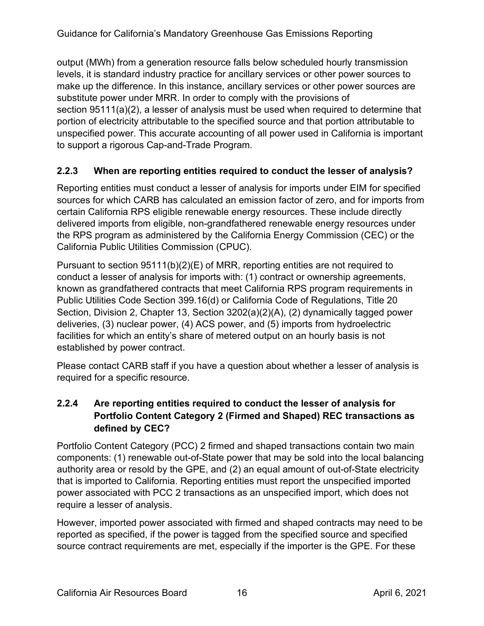output (MWh) from a generation resource falls below scheduled hourly transmission levels, it is standard industry practice for ancillary services or other power sources to make up the difference. In this instance, ancillary services or other power sources are substitute power under MRR. In order to comply with the provisions of section 95111(a)(2), a lesser of analysis must be used when required to determine that portion of electricity attributable to the specified source and that portion attributable to unspecified power. This accurate accounting of all power used in California is important to support a rigorous Cap-and-Trade Program.

## **2.2.3 When are reporting entities required to conduct the lesser of analysis?**

Reporting entities must conduct a lesser of analysis for imports under EIM for specified sources for which CARB has calculated an emission factor of zero, and for imports from certain California RPS eligible renewable energy resources. These include directly delivered imports from eligible, non-grandfathered renewable energy resources under the RPS program as administered by the California Energy Commission (CEC) or the California Public Utilities Commission (CPUC).

Pursuant to section 95111(b)(2)(E) of MRR, reporting entities are not required to conduct a lesser of analysis for imports with: (1) contract or ownership agreements, known as grandfathered contracts that meet California RPS program requirements in Public Utilities Code Section 399.16(d) or California Code of Regulations, Title 20 Section, Division 2, Chapter 13, Section 3202(a)(2)(A), (2) dynamically tagged power deliveries, (3) nuclear power, (4) ACS power, and (5) imports from hydroelectric facilities for which an entity's share of metered output on an hourly basis is not established by power contract.

Please contact CARB staff if you have a question about whether a lesser of analysis is required for a specific resource.

## **2.2.4 Are reporting entities required to conduct the lesser of analysis for Portfolio Content Category 2 (Firmed and Shaped) REC transactions as defined by CEC?**

Portfolio Content Category (PCC) 2 firmed and shaped transactions contain two main components: (1) renewable out-of-State power that may be sold into the local balancing authority area or resold by the GPE, and (2) an equal amount of out-of-State electricity that is imported to California. Reporting entities must report the unspecified imported power associated with PCC 2 transactions as an unspecified import, which does not require a lesser of analysis.

However, imported power associated with firmed and shaped contracts may need to be reported as specified, if the power is tagged from the specified source and specified source contract requirements are met, especially if the importer is the GPE. For these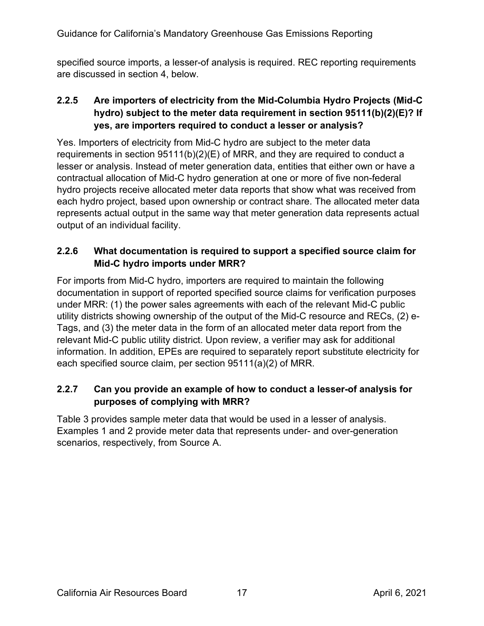specified source imports, a lesser-of analysis is required. REC reporting requirements are discussed in section 4, below.

# **2.2.5 Are importers of electricity from the Mid-Columbia Hydro Projects (Mid-C hydro) subject to the meter data requirement in section 95111(b)(2)(E)? If yes, are importers required to conduct a lesser or analysis?**

Yes. Importers of electricity from Mid-C hydro are subject to the meter data requirements in section 95111(b)(2)(E) of MRR, and they are required to conduct a lesser or analysis. Instead of meter generation data, entities that either own or have a contractual allocation of Mid-C hydro generation at one or more of five non-federal hydro projects receive allocated meter data reports that show what was received from each hydro project, based upon ownership or contract share. The allocated meter data represents actual output in the same way that meter generation data represents actual output of an individual facility.

# **2.2.6 What documentation is required to support a specified source claim for Mid-C hydro imports under MRR?**

For imports from Mid-C hydro, importers are required to maintain the following documentation in support of reported specified source claims for verification purposes under MRR: (1) the power sales agreements with each of the relevant Mid-C public utility districts showing ownership of the output of the Mid-C resource and RECs, (2) e-Tags, and (3) the meter data in the form of an allocated meter data report from the relevant Mid-C public utility district. Upon review, a verifier may ask for additional information. In addition, EPEs are required to separately report substitute electricity for each specified source claim, per section 95111(a)(2) of MRR.

# **2.2.7 Can you provide an example of how to conduct a lesser-of analysis for purposes of complying with MRR?**

Table 3 provides sample meter data that would be used in a lesser of analysis. Examples 1 and 2 provide meter data that represents under- and over-generation scenarios, respectively, from Source A.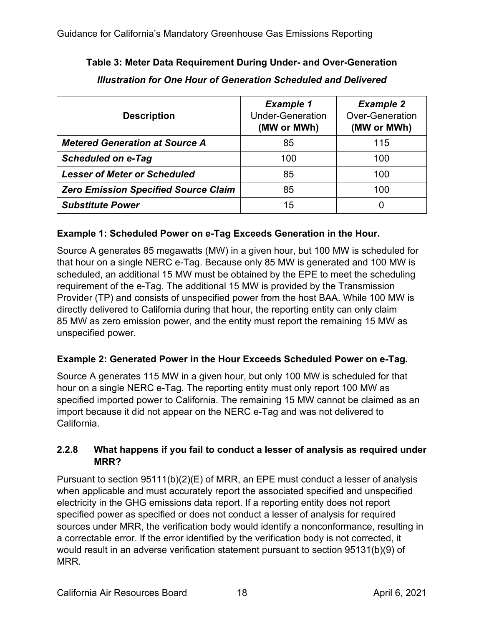| <b>Description</b>                          | <b>Example 1</b><br><b>Under-Generation</b><br>(MW or MWh) | <b>Example 2</b><br><b>Over-Generation</b><br>(MW or MWh) |
|---------------------------------------------|------------------------------------------------------------|-----------------------------------------------------------|
| <b>Metered Generation at Source A</b>       | 85                                                         | 115                                                       |
| <b>Scheduled on e-Tag</b>                   | 100                                                        | 100                                                       |
| <b>Lesser of Meter or Scheduled</b>         | 85                                                         | 100                                                       |
| <b>Zero Emission Specified Source Claim</b> | 85                                                         | 100                                                       |
| <b>Substitute Power</b>                     | 15                                                         | 0                                                         |

# **Table 3: Meter Data Requirement During Under- and Over-Generation** *Illustration for One Hour of Generation Scheduled and Delivered*

## **Example 1: Scheduled Power on e-Tag Exceeds Generation in the Hour.**

Source A generates 85 megawatts (MW) in a given hour, but 100 MW is scheduled for that hour on a single NERC e-Tag. Because only 85 MW is generated and 100 MW is scheduled, an additional 15 MW must be obtained by the EPE to meet the scheduling requirement of the e-Tag. The additional 15 MW is provided by the Transmission Provider (TP) and consists of unspecified power from the host BAA. While 100 MW is directly delivered to California during that hour, the reporting entity can only claim 85 MW as zero emission power, and the entity must report the remaining 15 MW as unspecified power.

## **Example 2: Generated Power in the Hour Exceeds Scheduled Power on e-Tag.**

Source A generates 115 MW in a given hour, but only 100 MW is scheduled for that hour on a single NERC e-Tag. The reporting entity must only report 100 MW as specified imported power to California. The remaining 15 MW cannot be claimed as an import because it did not appear on the NERC e-Tag and was not delivered to California.

## **2.2.8 What happens if you fail to conduct a lesser of analysis as required under MRR?**

Pursuant to section 95111(b)(2)(E) of MRR, an EPE must conduct a lesser of analysis when applicable and must accurately report the associated specified and unspecified electricity in the GHG emissions data report. If a reporting entity does not report specified power as specified or does not conduct a lesser of analysis for required sources under MRR, the verification body would identify a nonconformance, resulting in a correctable error. If the error identified by the verification body is not corrected, it would result in an adverse verification statement pursuant to section 95131(b)(9) of MRR.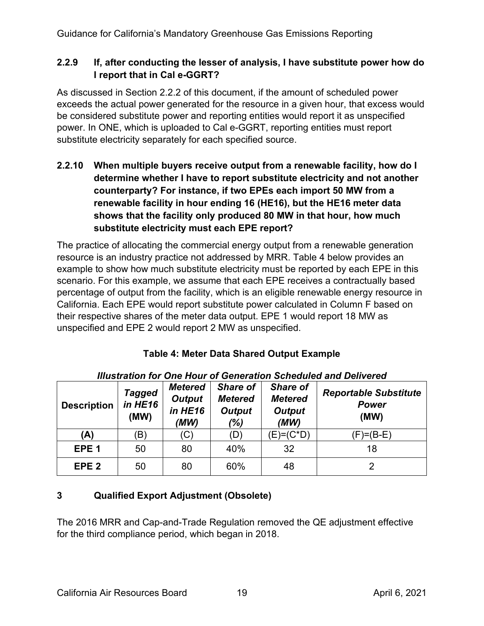#### **2.2.9 If, after conducting the lesser of analysis, I have substitute power how do I report that in Cal e-GGRT?**

As discussed in Section 2.2.2 of this document, if the amount of scheduled power exceeds the actual power generated for the resource in a given hour, that excess would be considered substitute power and reporting entities would report it as unspecified power. In ONE, which is uploaded to Cal e-GGRT, reporting entities must report substitute electricity separately for each specified source.

## **2.2.10 When multiple buyers receive output from a renewable facility, how do I determine whether I have to report substitute electricity and not another counterparty? For instance, if two EPEs each import 50 MW from a renewable facility in hour ending 16 (HE16), but the HE16 meter data shows that the facility only produced 80 MW in that hour, how much substitute electricity must each EPE report?**

The practice of allocating the commercial energy output from a renewable generation resource is an industry practice not addressed by MRR. Table 4 below provides an example to show how much substitute electricity must be reported by each EPE in this scenario. For this example, we assume that each EPE receives a contractually based percentage of output from the facility, which is an eligible renewable energy resource in California. Each EPE would report substitute power calculated in Column F based on their respective shares of the meter data output. EPE 1 would report 18 MW as unspecified and EPE 2 would report 2 MW as unspecified.

| <b>Illustration for One Hour of Generation Scheduled and Delivered</b> |                                  |                                                    |                                                           |                                                            |                                                      |
|------------------------------------------------------------------------|----------------------------------|----------------------------------------------------|-----------------------------------------------------------|------------------------------------------------------------|------------------------------------------------------|
| <b>Description</b>                                                     | <b>Tagged</b><br>in HE16<br>(MW) | <b>Metered</b><br><b>Output</b><br>in HE16<br>(MW) | <b>Share of</b><br><b>Metered</b><br><b>Output</b><br>(%) | <b>Share of</b><br><b>Metered</b><br><b>Output</b><br>(MW) | <b>Reportable Substitute</b><br><b>Power</b><br>(MW) |
| (A)                                                                    | (B)                              | (C)                                                | (D)                                                       | $(E) = (C^*D)$                                             | (F)=(B-E)                                            |
| EPE <sub>1</sub>                                                       | 50                               | 80                                                 | 40%                                                       | 32                                                         | 18                                                   |
| EPE <sub>2</sub>                                                       | 50                               | 80                                                 | 60%                                                       | 48                                                         |                                                      |

# **Table 4: Meter Data Shared Output Example**

## **3 Qualified Export Adjustment (Obsolete)**

The 2016 MRR and Cap-and-Trade Regulation removed the QE adjustment effective for the third compliance period, which began in 2018.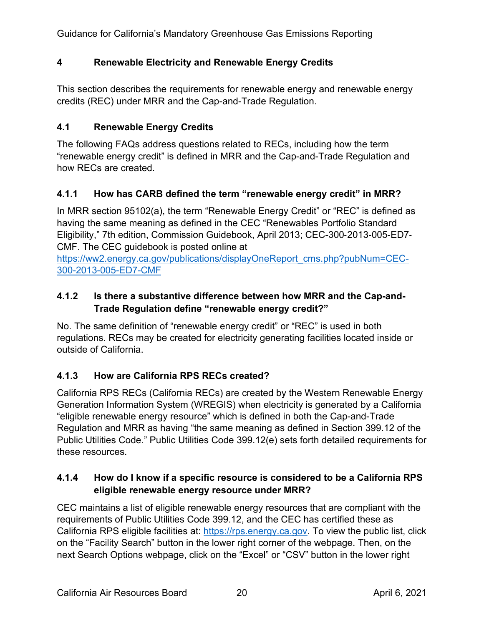## **4 Renewable Electricity and Renewable Energy Credits**

This section describes the requirements for renewable energy and renewable energy credits (REC) under MRR and the Cap-and-Trade Regulation.

#### <span id="page-19-0"></span>**4.1 Renewable Energy Credits**

The following FAQs address questions related to RECs, including how the term "renewable energy credit" is defined in MRR and the Cap-and-Trade Regulation and how RECs are created.

#### **4.1.1 How has CARB defined the term "renewable energy credit" in MRR?**

In MRR section 95102(a), the term "Renewable Energy Credit" or "REC" is defined as having the same meaning as defined in the CEC "Renewables Portfolio Standard Eligibility," 7th edition, Commission Guidebook, April 2013; CEC-300‐2013‐005‐ED7‐ CMF. The CEC guidebook is posted online at

[https://ww2.energy.ca.gov/publications/displayOneReport\\_cms.php?pubNum=CEC-](https://ww2.energy.ca.gov/publications/displayOneReport_cms.php?pubNum=CEC-300-2013-005-ED7-CMF)[300-2013-005-ED7-CMF](https://ww2.energy.ca.gov/publications/displayOneReport_cms.php?pubNum=CEC-300-2013-005-ED7-CMF)

### **4.1.2 Is there a substantive difference between how MRR and the Cap-and-Trade Regulation define "renewable energy credit?"**

No. The same definition of "renewable energy credit" or "REC" is used in both regulations. RECs may be created for electricity generating facilities located inside or outside of California.

## **4.1.3 How are California RPS RECs created?**

California RPS RECs (California RECs) are created by the Western Renewable Energy Generation Information System (WREGIS) when electricity is generated by a California "eligible renewable energy resource" which is defined in both the Cap-and-Trade Regulation and MRR as having "the same meaning as defined in Section 399.12 of the Public Utilities Code." Public Utilities Code 399.12(e) sets forth detailed requirements for these resources.

## **4.1.4 How do I know if a specific resource is considered to be a California RPS eligible renewable energy resource under MRR?**

CEC maintains a list of eligible renewable energy resources that are compliant with the requirements of Public Utilities Code 399.12, and the CEC has certified these as California RPS eligible facilities at: [https://rps.energy.ca.gov.](https://rps.energy.ca.gov/) To view the public list, click on the "Facility Search" button in the lower right corner of the webpage. Then, on the next Search Options webpage, click on the "Excel" or "CSV" button in the lower right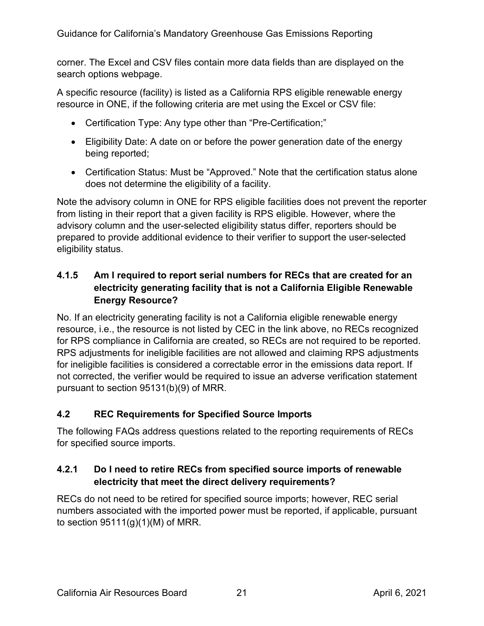corner. The Excel and CSV files contain more data fields than are displayed on the search options webpage.

A specific resource (facility) is listed as a California RPS eligible renewable energy resource in ONE, if the following criteria are met using the Excel or CSV file:

- Certification Type: Any type other than "Pre-Certification;"
- Eligibility Date: A date on or before the power generation date of the energy being reported;
- Certification Status: Must be "Approved." Note that the certification status alone does not determine the eligibility of a facility.

Note the advisory column in ONE for RPS eligible facilities does not prevent the reporter from listing in their report that a given facility is RPS eligible. However, where the advisory column and the user-selected eligibility status differ, reporters should be prepared to provide additional evidence to their verifier to support the user-selected eligibility status.

## **4.1.5 Am I required to report serial numbers for RECs that are created for an electricity generating facility that is not a California Eligible Renewable Energy Resource?**

No. If an electricity generating facility is not a California eligible renewable energy resource, i.e., the resource is not listed by CEC in the link above, no RECs recognized for RPS compliance in California are created, so RECs are not required to be reported. RPS adjustments for ineligible facilities are not allowed and claiming RPS adjustments for ineligible facilities is considered a correctable error in the emissions data report. If not corrected, the verifier would be required to issue an adverse verification statement pursuant to section 95131(b)(9) of MRR.

## <span id="page-20-0"></span>**4.2 REC Requirements for Specified Source Imports**

The following FAQs address questions related to the reporting requirements of RECs for specified source imports.

## **4.2.1 Do I need to retire RECs from specified source imports of renewable electricity that meet the direct delivery requirements?**

RECs do not need to be retired for specified source imports; however, REC serial numbers associated with the imported power must be reported, if applicable, pursuant to section  $95111(q)(1)(M)$  of MRR.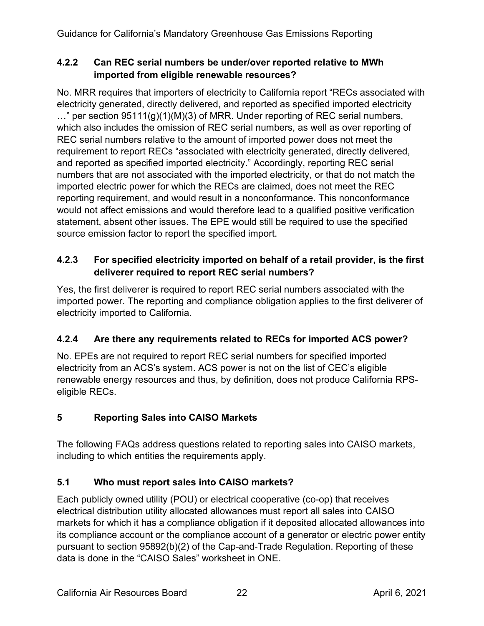## **4.2.2 Can REC serial numbers be under/over reported relative to MWh imported from eligible renewable resources?**

No. MRR requires that importers of electricity to California report "RECs associated with electricity generated, directly delivered, and reported as specified imported electricity  $\ldots$ " per section 95111(g)(1)(M)(3) of MRR. Under reporting of REC serial numbers, which also includes the omission of REC serial numbers, as well as over reporting of REC serial numbers relative to the amount of imported power does not meet the requirement to report RECs "associated with electricity generated, directly delivered, and reported as specified imported electricity." Accordingly, reporting REC serial numbers that are not associated with the imported electricity, or that do not match the imported electric power for which the RECs are claimed, does not meet the REC reporting requirement, and would result in a nonconformance. This nonconformance would not affect emissions and would therefore lead to a qualified positive verification statement, absent other issues. The EPE would still be required to use the specified source emission factor to report the specified import.

## **4.2.3 For specified electricity imported on behalf of a retail provider, is the first deliverer required to report REC serial numbers?**

Yes, the first deliverer is required to report REC serial numbers associated with the imported power. The reporting and compliance obligation applies to the first deliverer of electricity imported to California.

# **4.2.4 Are there any requirements related to RECs for imported ACS power?**

No. EPEs are not required to report REC serial numbers for specified imported electricity from an ACS's system. ACS power is not on the list of CEC's eligible renewable energy resources and thus, by definition, does not produce California RPSeligible RECs.

# **5 Reporting Sales into CAISO Markets**

The following FAQs address questions related to reporting sales into CAISO markets, including to which entities the requirements apply.

# <span id="page-21-0"></span>**5.1 Who must report sales into CAISO markets?**

Each publicly owned utility (POU) or electrical cooperative (co-op) that receives electrical distribution utility allocated allowances must report all sales into CAISO markets for which it has a compliance obligation if it deposited allocated allowances into its compliance account or the compliance account of a generator or electric power entity pursuant to section 95892(b)(2) of the Cap-and-Trade Regulation. Reporting of these data is done in the "CAISO Sales" worksheet in ONE.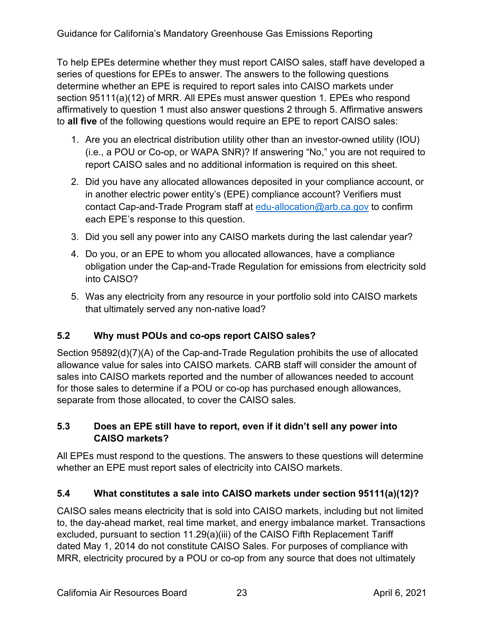To help EPEs determine whether they must report CAISO sales, staff have developed a series of questions for EPEs to answer. The answers to the following questions determine whether an EPE is required to report sales into CAISO markets under section 95111(a)(12) of MRR. All EPEs must answer question 1. EPEs who respond affirmatively to question 1 must also answer questions 2 through 5. Affirmative answers to **all five** of the following questions would require an EPE to report CAISO sales:

- 1. Are you an electrical distribution utility other than an investor-owned utility (IOU) (i.e., a POU or Co-op, or WAPA SNR)? If answering "No," you are not required to report CAISO sales and no additional information is required on this sheet.
- 2. Did you have any allocated allowances deposited in your compliance account, or in another electric power entity's (EPE) compliance account? Verifiers must contact Cap-and-Trade Program staff at [edu-allocation@arb.ca.gov](mailto:edu-allocation@arb.ca.gov) to confirm each EPE's response to this question.
- 3. Did you sell any power into any CAISO markets during the last calendar year?
- 4. Do you, or an EPE to whom you allocated allowances, have a compliance obligation under the Cap-and-Trade Regulation for emissions from electricity sold into CAISO?
- 5. Was any electricity from any resource in your portfolio sold into CAISO markets that ultimately served any non-native load?

## <span id="page-22-0"></span>**5.2 Why must POUs and co-ops report CAISO sales?**

Section 95892(d)(7)(A) of the Cap-and-Trade Regulation prohibits the use of allocated allowance value for sales into CAISO markets. CARB staff will consider the amount of sales into CAISO markets reported and the number of allowances needed to account for those sales to determine if a POU or co-op has purchased enough allowances, separate from those allocated, to cover the CAISO sales.

## <span id="page-22-1"></span>**5.3 Does an EPE still have to report, even if it didn't sell any power into CAISO markets?**

All EPEs must respond to the questions. The answers to these questions will determine whether an EPE must report sales of electricity into CAISO markets.

## <span id="page-22-2"></span>**5.4 What constitutes a sale into CAISO markets under section 95111(a)(12)?**

CAISO sales means electricity that is sold into CAISO markets, including but not limited to, the day-ahead market, real time market, and energy imbalance market. Transactions excluded, pursuant to section 11.29(a)(iii) of the CAISO Fifth Replacement Tariff dated May 1, 2014 do not constitute CAISO Sales. For purposes of compliance with MRR, electricity procured by a POU or co-op from any source that does not ultimately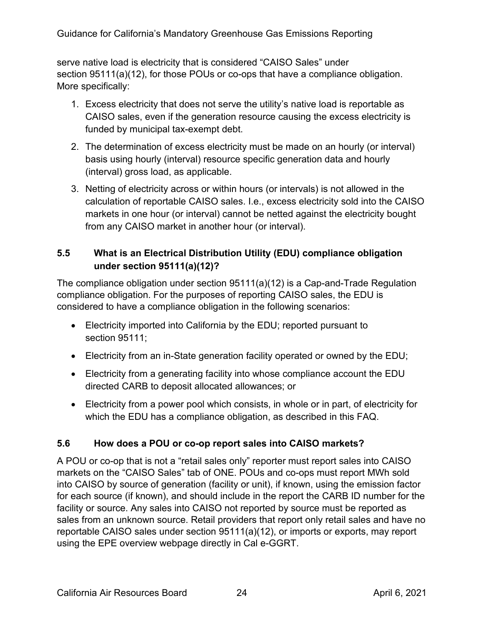serve native load is electricity that is considered "CAISO Sales" under section 95111(a)(12), for those POUs or co-ops that have a compliance obligation. More specifically:

- 1. Excess electricity that does not serve the utility's native load is reportable as CAISO sales, even if the generation resource causing the excess electricity is funded by municipal tax-exempt debt.
- 2. The determination of excess electricity must be made on an hourly (or interval) basis using hourly (interval) resource specific generation data and hourly (interval) gross load, as applicable.
- 3. Netting of electricity across or within hours (or intervals) is not allowed in the calculation of reportable CAISO sales. I.e., excess electricity sold into the CAISO markets in one hour (or interval) cannot be netted against the electricity bought from any CAISO market in another hour (or interval).

## <span id="page-23-0"></span>**5.5 What is an Electrical Distribution Utility (EDU) compliance obligation under section 95111(a)(12)?**

The compliance obligation under section 95111(a)(12) is a Cap-and-Trade Regulation compliance obligation. For the purposes of reporting CAISO sales, the EDU is considered to have a compliance obligation in the following scenarios:

- Electricity imported into California by the EDU; reported pursuant to section 95111;
- Electricity from an in-State generation facility operated or owned by the EDU;
- Electricity from a generating facility into whose compliance account the EDU directed CARB to deposit allocated allowances; or
- Electricity from a power pool which consists, in whole or in part, of electricity for which the EDU has a compliance obligation, as described in this FAQ.

# <span id="page-23-1"></span>**5.6 How does a POU or co-op report sales into CAISO markets?**

A POU or co-op that is not a "retail sales only" reporter must report sales into CAISO markets on the "CAISO Sales" tab of ONE. POUs and co-ops must report MWh sold into CAISO by source of generation (facility or unit), if known, using the emission factor for each source (if known), and should include in the report the CARB ID number for the facility or source. Any sales into CAISO not reported by source must be reported as sales from an unknown source. Retail providers that report only retail sales and have no reportable CAISO sales under section 95111(a)(12), or imports or exports, may report using the EPE overview webpage directly in Cal e-GGRT.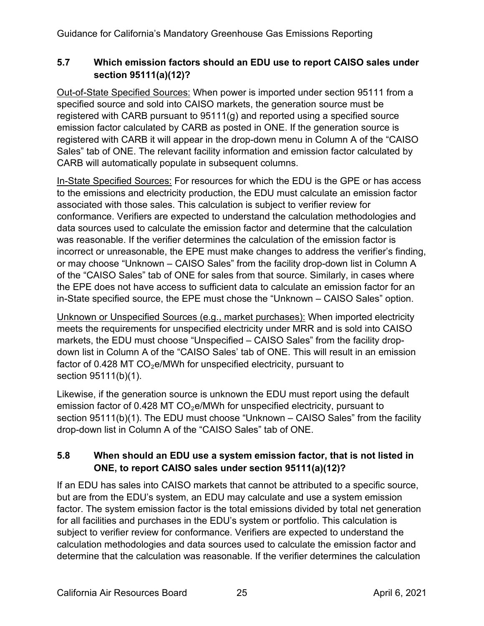# <span id="page-24-0"></span>**5.7 Which emission factors should an EDU use to report CAISO sales under section 95111(a)(12)?**

Out-of-State Specified Sources: When power is imported under section 95111 from a specified source and sold into CAISO markets, the generation source must be registered with CARB pursuant to 95111(g) and reported using a specified source emission factor calculated by CARB as posted in ONE. If the generation source is registered with CARB it will appear in the drop-down menu in Column A of the "CAISO Sales" tab of ONE. The relevant facility information and emission factor calculated by CARB will automatically populate in subsequent columns.

In-State Specified Sources: For resources for which the EDU is the GPE or has access to the emissions and electricity production, the EDU must calculate an emission factor associated with those sales. This calculation is subject to verifier review for conformance. Verifiers are expected to understand the calculation methodologies and data sources used to calculate the emission factor and determine that the calculation was reasonable. If the verifier determines the calculation of the emission factor is incorrect or unreasonable, the EPE must make changes to address the verifier's finding, or may choose "Unknown – CAISO Sales" from the facility drop-down list in Column A of the "CAISO Sales" tab of ONE for sales from that source. Similarly, in cases where the EPE does not have access to sufficient data to calculate an emission factor for an in-State specified source, the EPE must chose the "Unknown – CAISO Sales" option.

Unknown or Unspecified Sources (e.g., market purchases): When imported electricity meets the requirements for unspecified electricity under MRR and is sold into CAISO markets, the EDU must choose "Unspecified – CAISO Sales" from the facility dropdown list in Column A of the "CAISO Sales' tab of ONE. This will result in an emission factor of 0.428 MT  $CO<sub>2</sub>e/MWh$  for unspecified electricity, pursuant to section 95111(b)(1).

Likewise, if the generation source is unknown the EDU must report using the default emission factor of 0.428 MT CO<sub>2</sub>e/MWh for unspecified electricity, pursuant to section 95111(b)(1). The EDU must choose "Unknown – CAISO Sales" from the facility drop-down list in Column A of the "CAISO Sales" tab of ONE.

# <span id="page-24-1"></span>**5.8 When should an EDU use a system emission factor, that is not listed in ONE, to report CAISO sales under section 95111(a)(12)?**

If an EDU has sales into CAISO markets that cannot be attributed to a specific source, but are from the EDU's system, an EDU may calculate and use a system emission factor. The system emission factor is the total emissions divided by total net generation for all facilities and purchases in the EDU's system or portfolio. This calculation is subject to verifier review for conformance. Verifiers are expected to understand the calculation methodologies and data sources used to calculate the emission factor and determine that the calculation was reasonable. If the verifier determines the calculation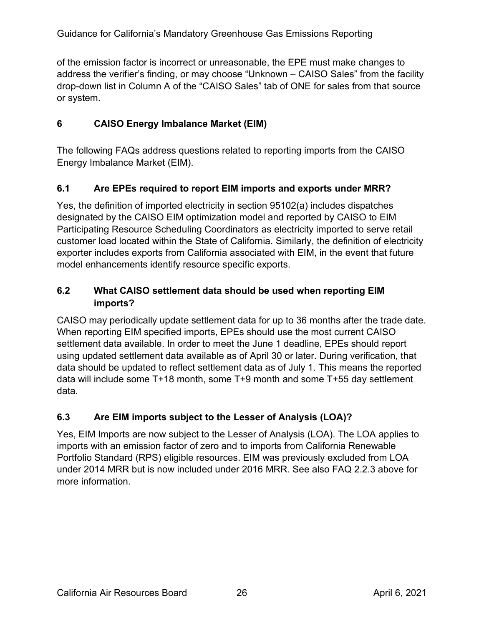of the emission factor is incorrect or unreasonable, the EPE must make changes to address the verifier's finding, or may choose "Unknown – CAISO Sales" from the facility drop-down list in Column A of the "CAISO Sales" tab of ONE for sales from that source or system.

## **6 CAISO Energy Imbalance Market (EIM)**

The following FAQs address questions related to reporting imports from the CAISO Energy Imbalance Market (EIM).

## <span id="page-25-0"></span>**6.1 Are EPEs required to report EIM imports and exports under MRR?**

Yes, the definition of imported electricity in section 95102(a) includes dispatches designated by the CAISO EIM optimization model and reported by CAISO to EIM Participating Resource Scheduling Coordinators as electricity imported to serve retail customer load located within the State of California. Similarly, the definition of electricity exporter includes exports from California associated with EIM, in the event that future model enhancements identify resource specific exports.

## <span id="page-25-1"></span>**6.2 What CAISO settlement data should be used when reporting EIM imports?**

CAISO may periodically update settlement data for up to 36 months after the trade date. When reporting EIM specified imports, EPEs should use the most current CAISO settlement data available. In order to meet the June 1 deadline, EPEs should report using updated settlement data available as of April 30 or later. During verification, that data should be updated to reflect settlement data as of July 1. This means the reported data will include some T+18 month, some T+9 month and some T+55 day settlement data.

## <span id="page-25-2"></span>**6.3 Are EIM imports subject to the Lesser of Analysis (LOA)?**

Yes, EIM Imports are now subject to the Lesser of Analysis (LOA). The LOA applies to imports with an emission factor of zero and to imports from California Renewable Portfolio Standard (RPS) eligible resources. EIM was previously excluded from LOA under 2014 MRR but is now included under 2016 MRR. See also FAQ 2.2.3 above for more information.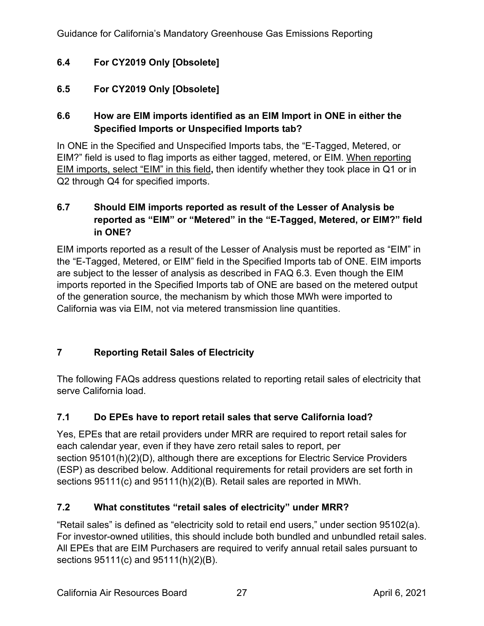# <span id="page-26-0"></span>**6.4 For CY2019 Only [Obsolete]**

## <span id="page-26-1"></span>**6.5 For CY2019 Only [Obsolete]**

## <span id="page-26-2"></span>**6.6 How are EIM imports identified as an EIM Import in ONE in either the Specified Imports or Unspecified Imports tab?**

In ONE in the Specified and Unspecified Imports tabs, the "E-Tagged, Metered, or EIM?" field is used to flag imports as either tagged, metered, or EIM. When reporting EIM imports, select "EIM" in this field**,** then identify whether they took place in Q1 or in Q2 through Q4 for specified imports.

#### <span id="page-26-3"></span>**6.7 Should EIM imports reported as result of the Lesser of Analysis be reported as "EIM" or "Metered" in the "E-Tagged, Metered, or EIM?" field in ONE?**

EIM imports reported as a result of the Lesser of Analysis must be reported as "EIM" in the "E-Tagged, Metered, or EIM" field in the Specified Imports tab of ONE. EIM imports are subject to the lesser of analysis as described in FAQ 6.3. Even though the EIM imports reported in the Specified Imports tab of ONE are based on the metered output of the generation source, the mechanism by which those MWh were imported to California was via EIM, not via metered transmission line quantities.

## **7 Reporting Retail Sales of Electricity**

The following FAQs address questions related to reporting retail sales of electricity that serve California load.

## <span id="page-26-4"></span>**7.1 Do EPEs have to report retail sales that serve California load?**

Yes, EPEs that are retail providers under MRR are required to report retail sales for each calendar year, even if they have zero retail sales to report, per section 95101(h)(2)(D), although there are exceptions for Electric Service Providers (ESP) as described below. Additional requirements for retail providers are set forth in sections 95111(c) and 95111(h)(2)(B). Retail sales are reported in MWh.

## <span id="page-26-5"></span>**7.2 What constitutes "retail sales of electricity" under MRR?**

"Retail sales" is defined as "electricity sold to retail end users," under section 95102(a). For investor-owned utilities, this should include both bundled and unbundled retail sales. All EPEs that are EIM Purchasers are required to verify annual retail sales pursuant to sections 95111(c) and 95111(h)(2)(B).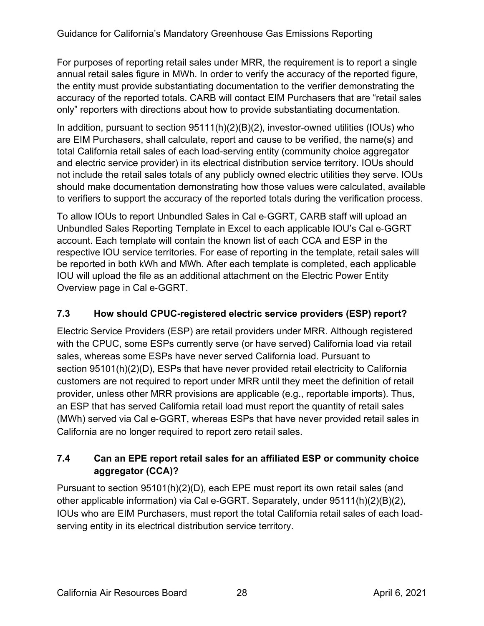For purposes of reporting retail sales under MRR, the requirement is to report a single annual retail sales figure in MWh. In order to verify the accuracy of the reported figure, the entity must provide substantiating documentation to the verifier demonstrating the accuracy of the reported totals. CARB will contact EIM Purchasers that are "retail sales only" reporters with directions about how to provide substantiating documentation.

In addition, pursuant to section 95111(h)(2)(B)(2), investor-owned utilities (IOUs) who are EIM Purchasers, shall calculate, report and cause to be verified, the name(s) and total California retail sales of each load-serving entity (community choice aggregator and electric service provider) in its electrical distribution service territory. IOUs should not include the retail sales totals of any publicly owned electric utilities they serve. IOUs should make documentation demonstrating how those values were calculated, available to verifiers to support the accuracy of the reported totals during the verification process.

To allow IOUs to report Unbundled Sales in Cal e‐GGRT, CARB staff will upload an Unbundled Sales Reporting Template in Excel to each applicable IOU's Cal e‐GGRT account. Each template will contain the known list of each CCA and ESP in the respective IOU service territories. For ease of reporting in the template, retail sales will be reported in both kWh and MWh. After each template is completed, each applicable IOU will upload the file as an additional attachment on the Electric Power Entity Overview page in Cal e‐GGRT.

## <span id="page-27-0"></span>**7.3 How should CPUC-registered electric service providers (ESP) report?**

Electric Service Providers (ESP) are retail providers under MRR. Although registered with the CPUC, some ESPs currently serve (or have served) California load via retail sales, whereas some ESPs have never served California load. Pursuant to section 95101(h)(2)(D), ESPs that have never provided retail electricity to California customers are not required to report under MRR until they meet the definition of retail provider, unless other MRR provisions are applicable (e.g., reportable imports). Thus, an ESP that has served California retail load must report the quantity of retail sales (MWh) served via Cal e‐GGRT, whereas ESPs that have never provided retail sales in California are no longer required to report zero retail sales.

# <span id="page-27-1"></span>**7.4 Can an EPE report retail sales for an affiliated ESP or community choice aggregator (CCA)?**

Pursuant to section 95101(h)(2)(D), each EPE must report its own retail sales (and other applicable information) via Cal e‐GGRT. Separately, under 95111(h)(2)(B)(2), IOUs who are EIM Purchasers, must report the total California retail sales of each loadserving entity in its electrical distribution service territory.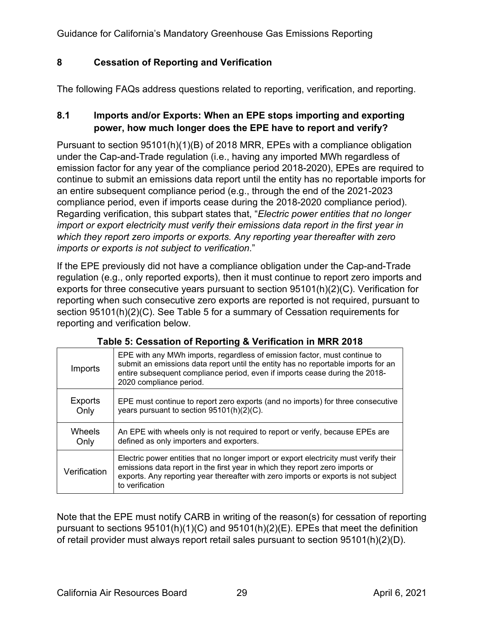### **8 Cessation of Reporting and Verification**

The following FAQs address questions related to reporting, verification, and reporting.

### <span id="page-28-0"></span>**8.1 Imports and/or Exports: When an EPE stops importing and exporting power, how much longer does the EPE have to report and verify?**

Pursuant to section 95101(h)(1)(B) of 2018 MRR, EPEs with a compliance obligation under the Cap-and-Trade regulation (i.e., having any imported MWh regardless of emission factor for any year of the compliance period 2018-2020), EPEs are required to continue to submit an emissions data report until the entity has no reportable imports for an entire subsequent compliance period (e.g., through the end of the 2021-2023 compliance period, even if imports cease during the 2018-2020 compliance period). Regarding verification, this subpart states that, "*Electric power entities that no longer import or export electricity must verify their emissions data report in the first year in which they report zero imports or exports. Any reporting year thereafter with zero imports or exports is not subject to verification*."

If the EPE previously did not have a compliance obligation under the Cap-and-Trade regulation (e.g., only reported exports), then it must continue to report zero imports and exports for three consecutive years pursuant to section 95101(h)(2)(C). Verification for reporting when such consecutive zero exports are reported is not required, pursuant to section 95101(h)(2)(C). See Table 5 for a summary of Cessation requirements for reporting and verification below.

| Imports        | EPE with any MWh imports, regardless of emission factor, must continue to<br>submit an emissions data report until the entity has no reportable imports for an<br>entire subsequent compliance period, even if imports cease during the 2018-<br>2020 compliance period.       |
|----------------|--------------------------------------------------------------------------------------------------------------------------------------------------------------------------------------------------------------------------------------------------------------------------------|
| <b>Exports</b> | EPE must continue to report zero exports (and no imports) for three consecutive                                                                                                                                                                                                |
| Only           | years pursuant to section $95101(h)(2)(C)$ .                                                                                                                                                                                                                                   |
| Wheels         | An EPE with wheels only is not required to report or verify, because EPEs are                                                                                                                                                                                                  |
| Only           | defined as only importers and exporters.                                                                                                                                                                                                                                       |
| Verification   | Electric power entities that no longer import or export electricity must verify their<br>emissions data report in the first year in which they report zero imports or<br>exports. Any reporting year thereafter with zero imports or exports is not subject<br>to verification |

#### **Table 5: Cessation of Reporting & Verification in MRR 2018**

Note that the EPE must notify CARB in writing of the reason(s) for cessation of reporting pursuant to sections 95101(h)(1)(C) and 95101(h)(2)(E). EPEs that meet the definition of retail provider must always report retail sales pursuant to section 95101(h)(2)(D).